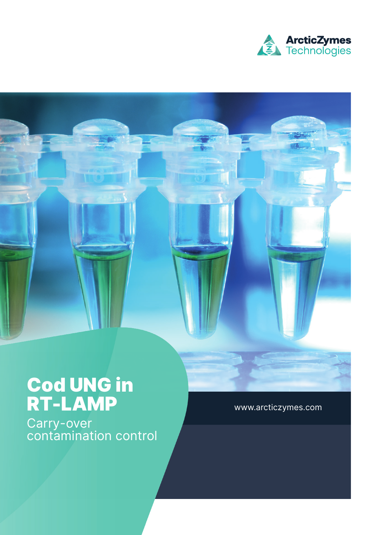

# Cod UNG in RT-LAMP

Carry-over contamination control www.arcticzymes.com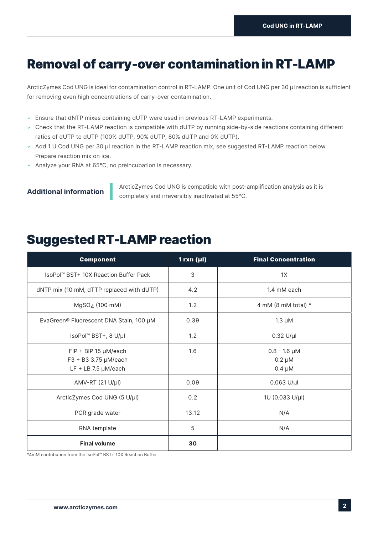## Removal of carry-over contamination in RT-LAMP

ArcticZymes Cod UNG is ideal for contamination control in RT-LAMP. One unit of Cod UNG per 30 µl reaction is sufficient for removing even high concentrations of carry-over contamination.

- $\sim$  Ensure that dNTP mixes containing dUTP were used in previous RT-LAMP experiments.
- Check that the RT-LAMP reaction is compatible with dUTP by running side-by-side reactions containing different ratios of dUTP to dUTP (100% dUTP, 90% dUTP, 80% dUTP and 0% dUTP).
- Add 1 U Cod UNG per 30 µl reaction in the RT-LAMP reaction mix, see suggested RT-LAMP reaction below. Prepare reaction mix on ice.
- Analyze your RNA at  $65^{\circ}$ C, no preincubation is necessary.

ArcticZymes Cod UNG is compatible with post-amplification analysis as it is **Additional information** completely and irreversibly inactivated at 55°C.

### Suggested RT-LAMP reaction

| <b>Component</b>                                                        | 1rxn (µl) | <b>Final Concentration</b>                      |
|-------------------------------------------------------------------------|-----------|-------------------------------------------------|
| IsoPol™ BST+ 10X Reaction Buffer Pack                                   | 3         | 1X                                              |
| dNTP mix (10 mM, dTTP replaced with dUTP)                               | 4.2       | 1.4 mM each                                     |
| MgSO <sub>4</sub> (100 mM)                                              | 1.2       | 4 mM (8 mM total) $*$                           |
| EvaGreen® Fluorescent DNA Stain, 100 µM                                 | 0.39      | $1.3 \mu M$                                     |
| IsoPol <sup>™</sup> BST+, 8 U/µl                                        | 1.2       | $0.32$ U/µl                                     |
| FIP + BIP 15 µM/each<br>F3 + B3 3.75 µM/each<br>$LF + LB$ 7.5 $µM/each$ | 1.6       | $0.8 - 1.6 \mu M$<br>$0.2 \mu M$<br>$0.4 \mu M$ |
| AMV-RT (21 U/µl)                                                        | 0.09      | $0.063$ U/µl                                    |
| ArcticZymes Cod UNG (5 U/µl)                                            | 0.2       | 1U (0.033 U/µl)                                 |
| PCR grade water                                                         | 13.12     | N/A                                             |
| RNA template                                                            | 5         | N/A                                             |
| <b>Final volume</b>                                                     | 30        |                                                 |

\*4mM contribution from the IsoPol™ BST+ 10X Reaction Buffer